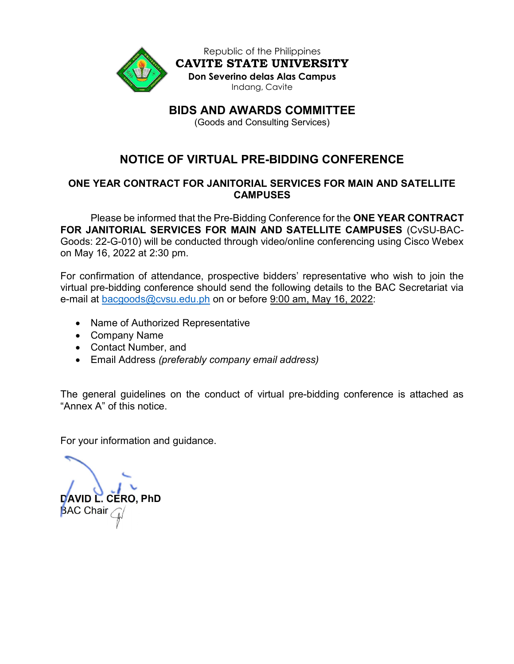

Republic of the Philippines CAVITE STATE UNIVERSITY Don Severino delas Alas Campus Indang, Cavite

BIDS AND AWARDS COMMITTEE

(Goods and Consulting Services)

# NOTICE OF VIRTUAL PRE-BIDDING CONFERENCE

# ONE YEAR CONTRACT FOR JANITORIAL SERVICES FOR MAIN AND SATELLITE **CAMPUSES**

Please be informed that the Pre-Bidding Conference for the **ONE YEAR CONTRACT** FOR JANITORIAL SERVICES FOR MAIN AND SATELLITE CAMPUSES (CvSU-BAC-Goods: 22-G-010) will be conducted through video/online conferencing using Cisco Webex on May 16, 2022 at 2:30 pm.

For confirmation of attendance, prospective bidders' representative who wish to join the virtual pre-bidding conference should send the following details to the BAC Secretariat via e-mail at bacgoods@cvsu.edu.ph on or before 9:00 am, May 16, 2022:

- Name of Authorized Representative
- Company Name
- Contact Number, and
- Email Address (preferably company email address)

The general guidelines on the conduct of virtual pre-bidding conference is attached as "Annex A" of this notice.

For your information and guidance.

DAVID L. CERO, PhD **BAC Chair**